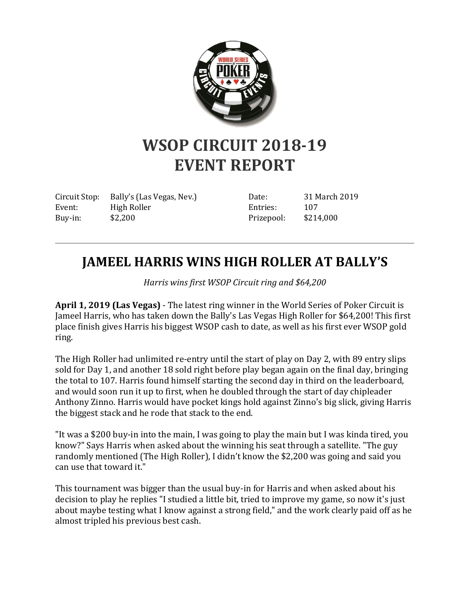

## **WSOP CIRCUIT 2018-19 EVENT REPORT**

Circuit Stop: Bally's (Las Vegas, Nev.) Event: High Roller Buy-in: \$2,200

Date: 31 March 2019 Entries: 107 Prizepool: \$214,000

## **JAMEEL HARRIS WINS HIGH ROLLER AT BALLY'S**

*Harris wins first WSOP Circuit ring and \$64,200*

**April 1, 2019 (Las Vegas)** - The latest ring winner in the World Series of Poker Circuit is Jameel Harris, who has taken down the Bally's Las Vegas High Roller for \$64,200! This first place finish gives Harris his biggest WSOP cash to date, as well as his first ever WSOP gold ring.

The High Roller had unlimited re-entry until the start of play on Day 2, with 89 entry slips sold for Day 1, and another 18 sold right before play began again on the final day, bringing the total to 107. Harris found himself starting the second day in third on the leaderboard, and would soon run it up to first, when he doubled through the start of day chipleader Anthony Zinno. Harris would have pocket kings hold against Zinno's big slick, giving Harris the biggest stack and he rode that stack to the end.

"It was a \$200 buy-in into the main, I was going to play the main but I was kinda tired, you know?" Says Harris when asked about the winning his seat through a satellite. "The guy randomly mentioned (The High Roller), I didn't know the \$2,200 was going and said you can use that toward it."

This tournament was bigger than the usual buy-in for Harris and when asked about his decision to play he replies "I studied a little bit, tried to improve my game, so now it's just about maybe testing what I know against a strong field," and the work clearly paid off as he almost tripled his previous best cash.